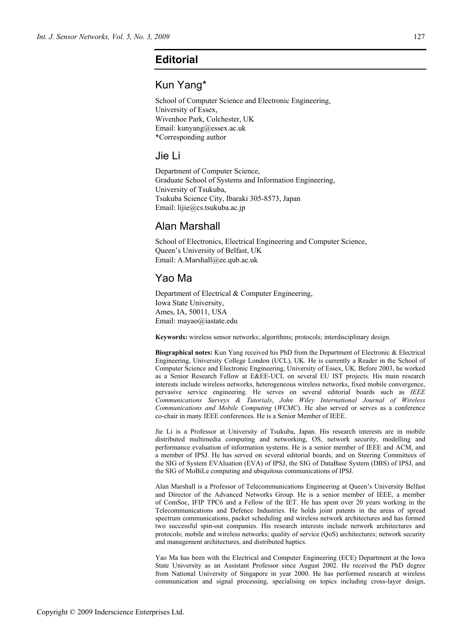# **Editorial**

### Kun Yang\*

School of Computer Science and Electronic Engineering, University of Essex, Wivenhoe Park, Colchester, UK Email: kunyang@essex.ac.uk \*Corresponding author

#### Jie Li

Department of Computer Science, Graduate School of Systems and Information Engineering, University of Tsukuba, Tsukuba Science City, Ibaraki 305-8573, Japan Email: lijie@cs.tsukuba.ac.jp

#### Alan Marshall

School of Electronics, Electrical Engineering and Computer Science, Queen's University of Belfast, UK Email: A.Marshall@ee.qub.ac.uk

## Yao Ma

Department of Electrical & Computer Engineering, Iowa State University, Ames, IA, 50011, USA Email: mayao@iastate.edu

**Keywords:** wireless sensor networks; algorithms; protocols; interdisciplinary design.

**Biographical notes:** Kun Yang received his PhD from the Department of Electronic & Electrical Engineering, University College London (UCL), UK. He is currently a Reader in the School of Computer Science and Electronic Engineering, University of Essex, UK. Before 2003, he worked as a Senior Research Fellow at E&EE-UCL on several EU IST projects. His main research interests include wireless networks, heterogeneous wireless networks, fixed mobile convergence, pervasive service engineering. He serves on several editorial boards such as *IEEE Communications Surveys & Tutorials*, *John Wiley International Journal of Wireless Communications and Mobile Computing* (*WCMC*). He also served or serves as a conference co-chair in many IEEE conferences. He is a Senior Member of IEEE.

Jie Li is a Professor at University of Tsukuba, Japan. His research interests are in mobile distributed multimedia computing and networking, OS, network security, modelling and performance evaluation of information systems. He is a senior member of IEEE and ACM, and a member of IPSJ. He has served on several editorial boards, and on Steering Committees of the SIG of System EVAluation (EVA) of IPSJ, the SIG of DataBase System (DBS) of IPSJ, and the SIG of MoBiLe computing and ubiquitous communications of IPSJ.

Alan Marshall is a Professor of Telecommunications Engineering at Queen's University Belfast and Director of the Advanced Networks Group. He is a senior member of IEEE, a member of ComSoc, IFIP TPC6 and a Fellow of the IET. He has spent over 20 years working in the Telecommunications and Defence Industries. He holds joint patents in the areas of spread spectrum communications, packet scheduling and wireless network architectures and has formed two successful spin-out companies. His research interests include network architectures and protocols; mobile and wireless networks; quality of service (QoS) architectures; network security and management architectures, and distributed haptics.

Yao Ma has been with the Electrical and Computer Engineering (ECE) Department at the Iowa State University as an Assistant Professor since August 2002. He received the PhD degree from National University of Singapore in year 2000. He has performed research at wireless communication and signal processing, specialising on topics including cross-layer design,